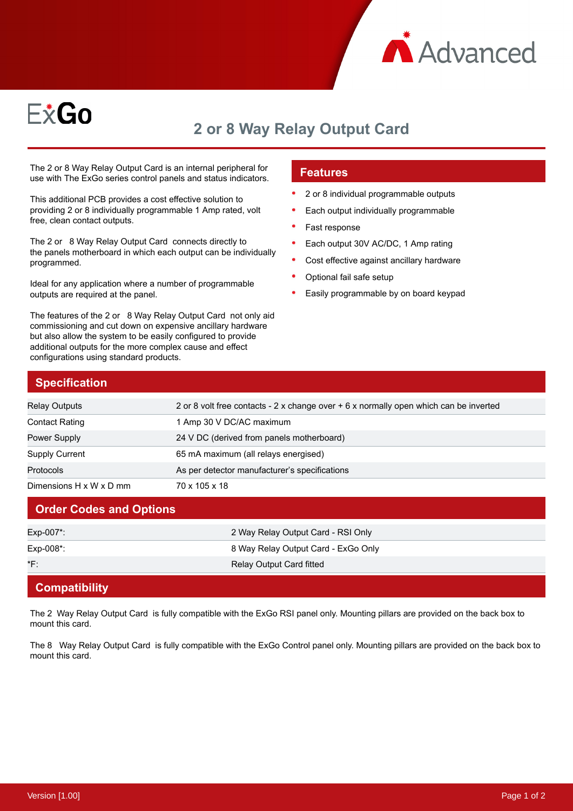



# **2 or 8 Way Relay Output Card**

The 2 or 8 Way Relay Output Card is an internal peripheral for use with The ExGo series control panels and status indicators.

This additional PCB provides a cost effective solution to providing 2 or 8 individually programmable 1 Amp rated, volt free, clean contact outputs.

The 2 or 8 Way Relay Output Card connects directly to the panels motherboard in which each output can be individually programmed.

Ideal for any application where a number of programmable outputs are required at the panel.

The features of the 2 or 8 Way Relay Output Card not only aid commissioning and cut down on expensive ancillary hardware but also allow the system to be easily configured to provide additional outputs for the more complex cause and effect configurations using standard products.

## **Features**

- 2 or 8 individual programmable outputs
- Each output individually programmable
- Fast response
- Each output 30V AC/DC, 1 Amp rating
- Cost effective against ancillary hardware
- Optional fail safe setup
- Easily programmable by on board keypad

## **Specification**

| Relay Outputs           | 2 or 8 volt free contacts - 2 x change over + 6 x normally open which can be inverted |
|-------------------------|---------------------------------------------------------------------------------------|
| <b>Contact Rating</b>   | 1 Amp 30 V DC/AC maximum                                                              |
| Power Supply            | 24 V DC (derived from panels motherboard)                                             |
| <b>Supply Current</b>   | 65 mA maximum (all relays energised)                                                  |
| Protocols               | As per detector manufacturer's specifications                                         |
| Dimensions H x W x D mm | 70 x 105 x 18                                                                         |

#### **Order Codes and Options**

| Exp-007*:    | 2 Way Relay Output Card - RSI Only  |
|--------------|-------------------------------------|
| $Exp-008$ *: | 8 Way Relay Output Card - ExGo Only |
| *F:          | Relay Output Card fitted            |
|              |                                     |

### **Compatibility**

The 2 Way Relay Output Card is fully compatible with the ExGo RSI panel only. Mounting pillars are provided on the back box to mount this card.

The 8 Way Relay Output Card is fully compatible with the ExGo Control panel only. Mounting pillars are provided on the back box to mount this card.